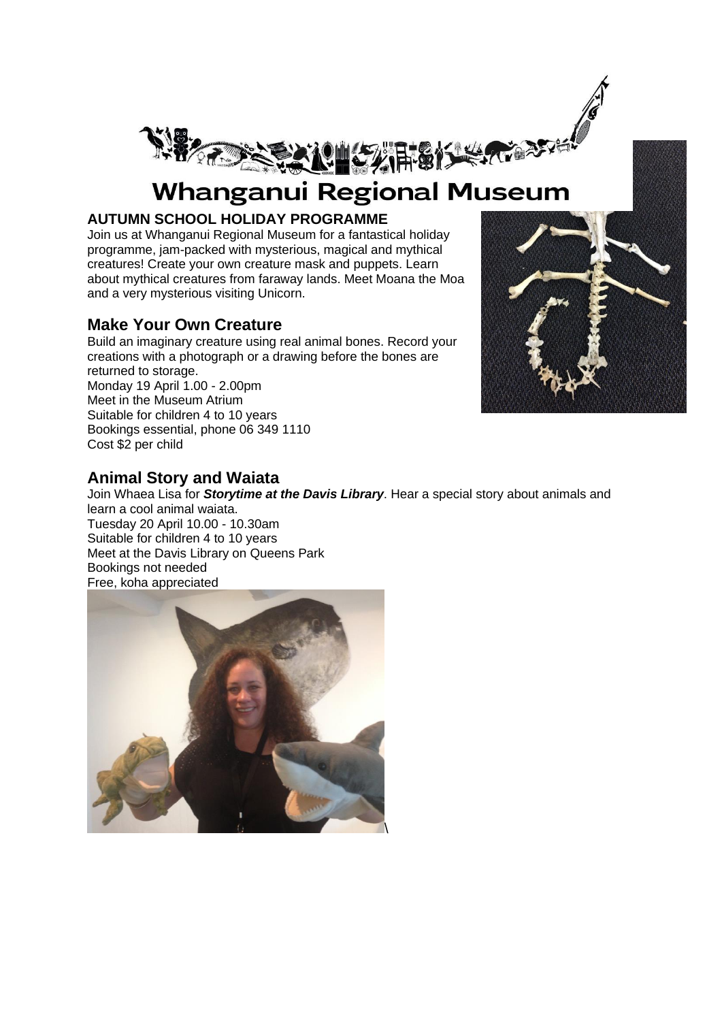

# **Whanganui Regional Museum**

#### **AUTUMN SCHOOL HOLIDAY PROGRAMME**

Join us at Whanganui Regional Museum for a fantastical holiday programme, jam-packed with mysterious, magical and mythical creatures! Create your own creature mask and puppets. Learn about mythical creatures from faraway lands. Meet Moana the Moa and a very mysterious visiting Unicorn.

## **Make Your Own Creature**

Build an imaginary creature using real animal bones. Record your creations with a photograph or a drawing before the bones are returned to storage. Monday 19 April 1.00 - 2.00pm Meet in the Museum Atrium Suitable for children 4 to 10 years Bookings essential, phone 06 349 1110 Cost \$2 per child



# **Animal Story and Waiata**

Join Whaea Lisa for *Storytime at the Davis Library*. Hear a special story about animals and learn a cool animal waiata. Tuesday 20 April 10.00 - 10.30am Suitable for children 4 to 10 years Meet at the Davis Library on Queens Park Bookings not needed Free, koha appreciated

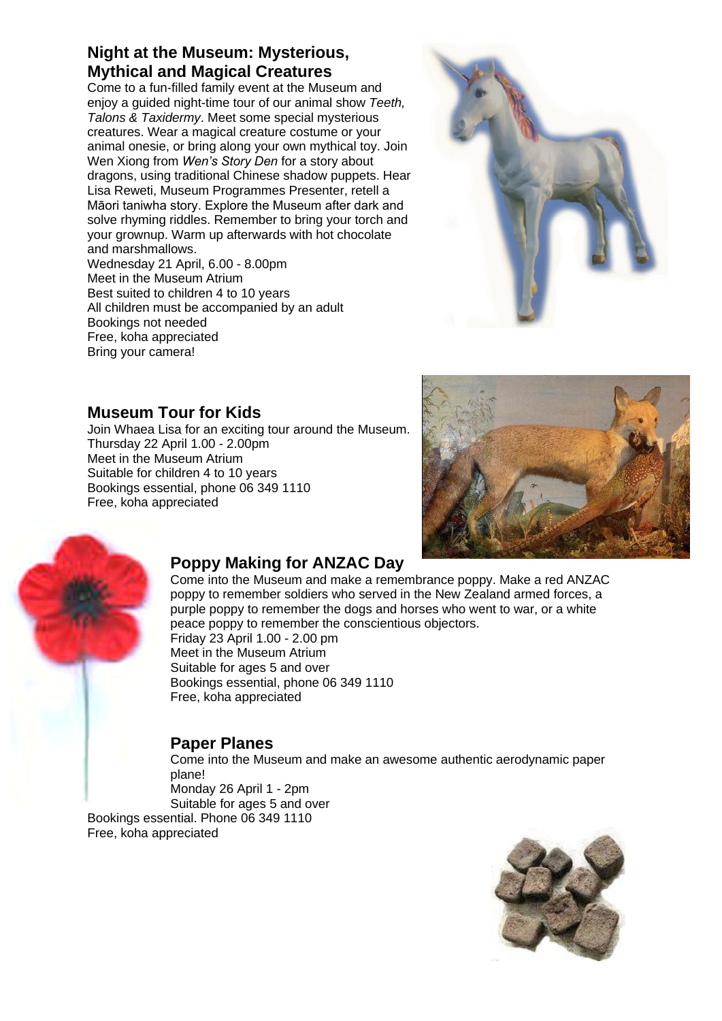## **Night at the Museum: Mysterious, Mythical and Magical Creatures**

Come to a fun-filled family event at the Museum and enjoy a guided night-time tour of our animal show *Teeth, Talons & Taxidermy*. Meet some special mysterious creatures. Wear a magical creature costume or your animal onesie, or bring along your own mythical toy. Join Wen Xiong from *Wen's Story Den* for a story about dragons, using traditional Chinese shadow puppets. Hear Lisa Reweti, Museum Programmes Presenter, retell a Māori taniwha story. Explore the Museum after dark and solve rhyming riddles. Remember to bring your torch and your grownup. Warm up afterwards with hot chocolate and marshmallows.

Wednesday 21 April, 6.00 - 8.00pm Meet in the Museum Atrium Best suited to children 4 to 10 years All children must be accompanied by an adult Bookings not needed Free, koha appreciated Bring your camera!



## **Museum Tour for Kids**

Join Whaea Lisa for an exciting tour around the Museum. Thursday 22 April 1.00 - 2.00pm Meet in the Museum Atrium Suitable for children 4 to 10 years Bookings essential, phone 06 349 1110 Free, koha appreciated





# **Poppy Making for ANZAC Day**

Come into the Museum and make a remembrance poppy. Make a red ANZAC poppy to remember soldiers who served in the New Zealand armed forces, a purple poppy to remember the dogs and horses who went to war, or a white peace poppy to remember the conscientious objectors. Friday 23 April 1.00 - 2.00 pm

Meet in the Museum Atrium Suitable for ages 5 and over Bookings essential, phone 06 349 1110 Free, koha appreciated

# **Paper Planes**

Come into the Museum and make an awesome authentic aerodynamic paper plane! Monday 26 April 1 - 2pm

Suitable for ages 5 and over

Bookings essential. Phone 06 349 1110 Free, koha appreciated